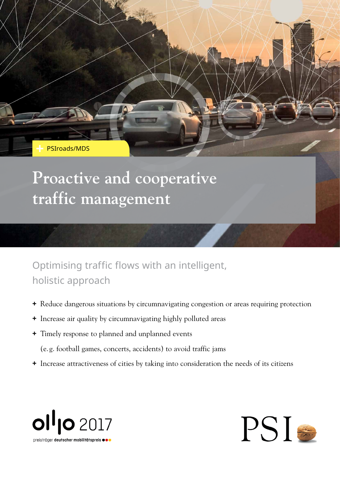PSIroads/MDS

## **Proactive and cooperative traffic management**

Optimising traffic flows with an intelligent, holistic approach

- **+** Reduce dangerous situations by circumnavigating congestion or areas requiring protection
- **+** Increase air quality by circumnavigating highly polluted areas
- **+** Timely response to planned and unplanned events
	- (e. g. football games, concerts, accidents) to avoid traffic jams
- **+** Increase attractiveness of cities by taking into consideration the needs of its citizens